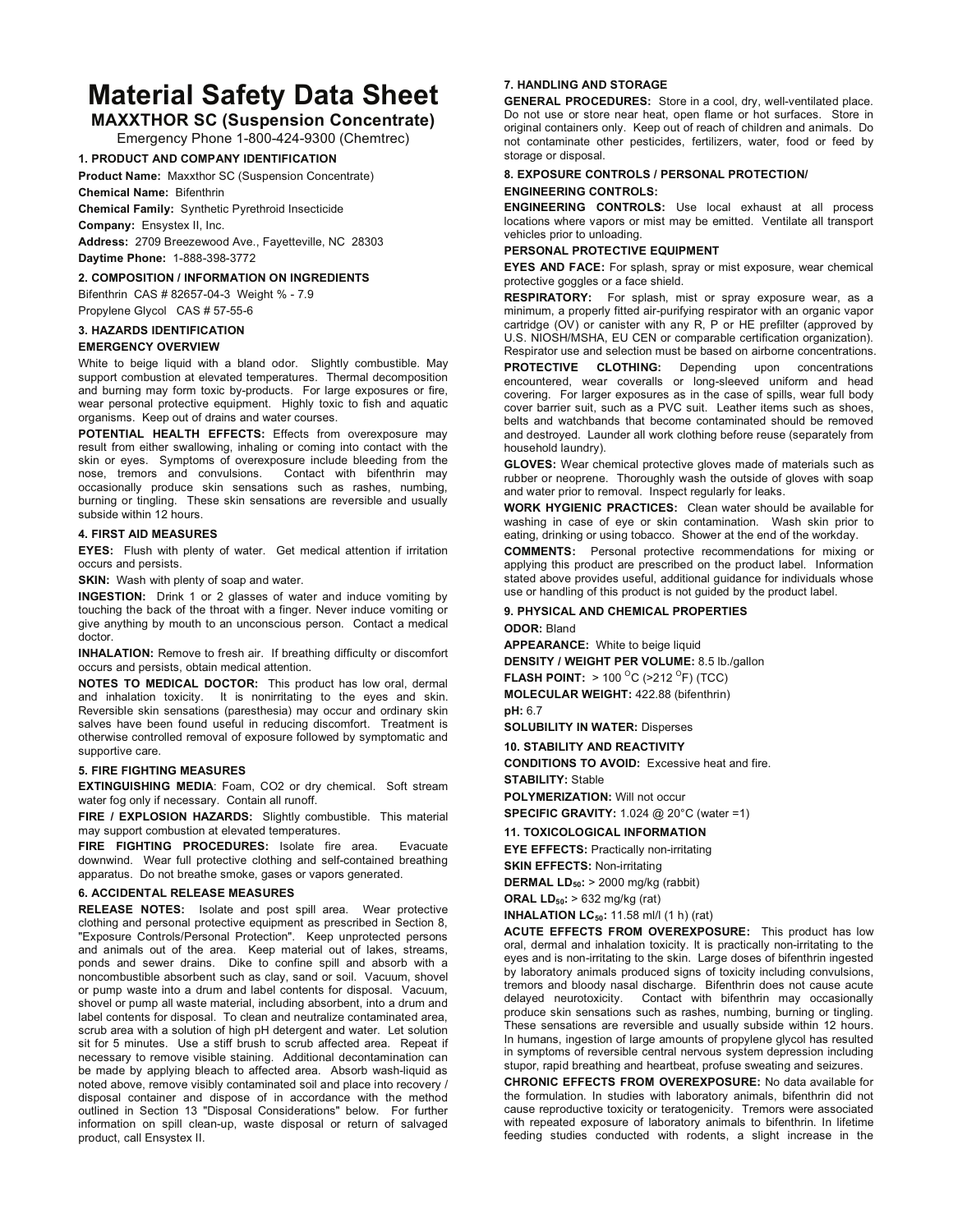# **Material Safety Data Sheet**

# **MAXXTHOR SC (Suspension Concentrate)**

Emergency Phone 1-800-424-9300 (Chemtrec)

#### **1. PRODUCT AND COMPANY IDENTIFICATION**

**Product Name:** Maxxthor SC (Suspension Concentrate) **Chemical Name:** Bifenthrin

**Chemical Family:** Synthetic Pyrethroid Insecticide

**Company:** Ensystex II, Inc. **Address:** 2709 Breezewood Ave., Fayetteville, NC 28303 **Daytime Phone:** 1-888-398-3772

**2. COMPOSITION / INFORMATION ON INGREDIENTS** 

Bifenthrin CAS # 82657-04-3 Weight % - 7.9

Propylene Glycol CAS # 57-55-6

**3. HAZARDS IDENTIFICATION** 

#### **EMERGENCY OVERVIEW**

White to beige liquid with a bland odor. Slightly combustible. May support combustion at elevated temperatures. Thermal decomposition and burning may form toxic by-products. For large exposures or fire, wear personal protective equipment. Highly toxic to fish and aquatic organisms. Keep out of drains and water courses.

**POTENTIAL HEALTH EFFECTS:** Effects from overexposure may result from either swallowing, inhaling or coming into contact with the skin or eyes. Symptoms of overexposure include bleeding from the nose, tremors and convulsions. Contact with bifenthrin may occasionally produce skin sensations such as rashes, numbing, burning or tingling. These skin sensations are reversible and usually subside within 12 hours.

#### **4. FIRST AID MEASURES**

**EYES:** Flush with plenty of water. Get medical attention if irritation occurs and persists.

**SKIN:** Wash with plenty of soap and water.

**INGESTION:** Drink 1 or 2 glasses of water and induce vomiting by touching the back of the throat with a finger. Never induce vomiting or give anything by mouth to an unconscious person. Contact a medical doctor.

**INHALATION:** Remove to fresh air. If breathing difficulty or discomfort occurs and persists, obtain medical attention.

**NOTES TO MEDICAL DOCTOR:** This product has low oral, dermal and inhalation toxicity. It is nonirritating to the eyes and skin. Reversible skin sensations (paresthesia) may occur and ordinary skin salves have been found useful in reducing discomfort. Treatment is otherwise controlled removal of exposure followed by symptomatic and supportive care.

#### **5. FIRE FIGHTING MEASURES**

**EXTINGUISHING MEDIA**: Foam, CO2 or dry chemical. Soft stream water fog only if necessary. Contain all runoff.

**FIRE / EXPLOSION HAZARDS:** Slightly combustible. This material may support combustion at elevated temperatures.

**FIRE FIGHTING PROCEDURES:** Isolate fire area. Evacuate downwind. Wear full protective clothing and self-contained breathing apparatus. Do not breathe smoke, gases or vapors generated.

#### **6. ACCIDENTAL RELEASE MEASURES**

**RELEASE NOTES:** Isolate and post spill area. Wear protective clothing and personal protective equipment as prescribed in Section 8, "Exposure Controls/Personal Protection". Keep unprotected persons and animals out of the area. Keep material out of lakes, streams, ponds and sewer drains. Dike to confine spill and absorb with a noncombustible absorbent such as clay, sand or soil. Vacuum, shovel or pump waste into a drum and label contents for disposal. Vacuum, shovel or pump all waste material, including absorbent, into a drum and label contents for disposal. To clean and neutralize contaminated area, scrub area with a solution of high pH detergent and water. Let solution sit for 5 minutes. Use a stiff brush to scrub affected area. Repeat if necessary to remove visible staining. Additional decontamination can be made by applying bleach to affected area. Absorb wash-liquid as noted above, remove visibly contaminated soil and place into recovery / disposal container and dispose of in accordance with the method outlined in Section 13 "Disposal Considerations" below. For further information on spill clean-up, waste disposal or return of salvaged product, call Ensystex II.

#### **7. HANDLING AND STORAGE**

**GENERAL PROCEDURES:** Store in a cool, dry, well-ventilated place. Do not use or store near heat, open flame or hot surfaces. Store in original containers only. Keep out of reach of children and animals. Do not contaminate other pesticides, fertilizers, water, food or feed by storage or disposal.

## **8. EXPOSURE CONTROLS / PERSONAL PROTECTION/**

#### **ENGINEERING CONTROLS:**

**ENGINEERING CONTROLS:** Use local exhaust at all process locations where vapors or mist may be emitted. Ventilate all transport vehicles prior to unloading.

#### **PERSONAL PROTECTIVE EQUIPMENT**

**EYES AND FACE:** For splash, spray or mist exposure, wear chemical protective goggles or a face shield.

**RESPIRATORY:** For splash, mist or spray exposure wear, as a minimum, a properly fitted air-purifying respirator with an organic vapor cartridge (OV) or canister with any R, P or HE prefilter (approved by U.S. NIOSH/MSHA, EU CEN or comparable certification organization). Respirator use and selection must be based on airborne concentrations.

**PROTECTIVE CLOTHING:** Depending upon concentrations encountered, wear coveralls or long-sleeved uniform and head covering. For larger exposures as in the case of spills, wear full body cover barrier suit, such as a PVC suit. Leather items such as shoes, belts and watchbands that become contaminated should be removed and destroyed. Launder all work clothing before reuse (separately from household laundry).

**GLOVES:** Wear chemical protective gloves made of materials such as rubber or neoprene. Thoroughly wash the outside of gloves with soap and water prior to removal. Inspect regularly for leaks.

**WORK HYGIENIC PRACTICES:** Clean water should be available for washing in case of eye or skin contamination. Wash skin prior to eating, drinking or using tobacco. Shower at the end of the workday.

**COMMENTS:** Personal protective recommendations for mixing or applying this product are prescribed on the product label. Information stated above provides useful, additional guidance for individuals whose use or handling of this product is not guided by the product label.

### **9. PHYSICAL AND CHEMICAL PROPERTIES**

**ODOR:** Bland

**APPEARANCE:** White to beige liquid **DENSITY / WEIGHT PER VOLUME:** 8.5 lb./gallon **FLASH POINT:** > 100 <sup>O</sup>C (>212 <sup>O</sup>F) (TCC)

**MOLECULAR WEIGHT:** 422.88 (bifenthrin) **pH:** 6.7

**SOLUBILITY IN WATER:** Disperses

**10. STABILITY AND REACTIVITY** 

**CONDITIONS TO AVOID:** Excessive heat and fire. **STABILITY:** Stable

**POLYMERIZATION:** Will not occur **SPECIFIC GRAVITY:** 1.024 @ 20°C (water =1)

#### **11. TOXICOLOGICAL INFORMATION**

**EYE EFFECTS:** Practically non-irritating **SKIN EFFECTS:** Non-irritating

**DERMAL LD50:** > 2000 mg/kg (rabbit)

**ORAL LD50:** > 632 mg/kg (rat)

**INHALATION LC**<sub>50</sub>: 11.58 ml/l (1 h) (rat)

**ACUTE EFFECTS FROM OVEREXPOSURE:** This product has low oral, dermal and inhalation toxicity. It is practically non-irritating to the eyes and is non-irritating to the skin. Large doses of bifenthrin ingested by laboratory animals produced signs of toxicity including convulsions, tremors and bloody nasal discharge. Bifenthrin does not cause acute delayed neurotoxicity. Contact with bifenthrin may occasionally produce skin sensations such as rashes, numbing, burning or tingling. These sensations are reversible and usually subside within 12 hours. In humans, ingestion of large amounts of propylene glycol has resulted in symptoms of reversible central nervous system depression including stupor, rapid breathing and heartbeat, profuse sweating and seizures.

**CHRONIC EFFECTS FROM OVEREXPOSURE:** No data available for the formulation. In studies with laboratory animals, bifenthrin did not cause reproductive toxicity or teratogenicity. Tremors were associated with repeated exposure of laboratory animals to bifenthrin. In lifetime feeding studies conducted with rodents, a slight increase in the